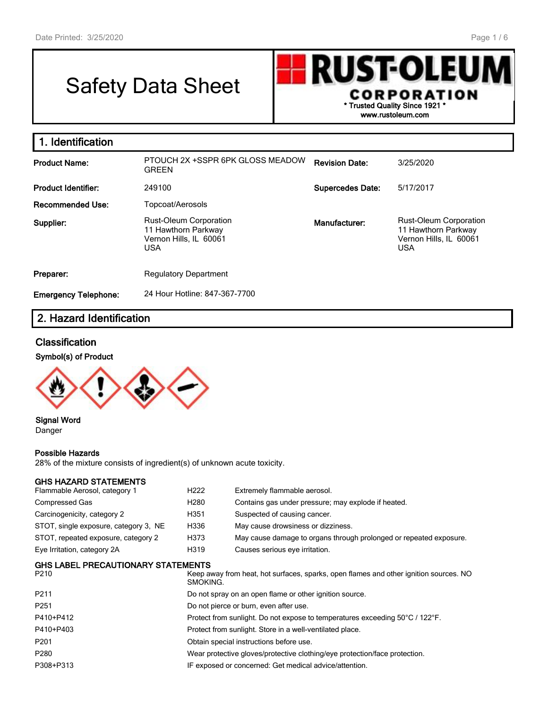# Safety Data Sheet



| 1. Identification           |                                                                                              |                         |                                                                                              |
|-----------------------------|----------------------------------------------------------------------------------------------|-------------------------|----------------------------------------------------------------------------------------------|
| <b>Product Name:</b>        | PTOUCH 2X +SSPR 6PK GLOSS MEADOW<br><b>GREEN</b>                                             | <b>Revision Date:</b>   | 3/25/2020                                                                                    |
| <b>Product Identifier:</b>  | 249100                                                                                       | <b>Supercedes Date:</b> | 5/17/2017                                                                                    |
| Recommended Use:            | Topcoat/Aerosols                                                                             |                         |                                                                                              |
| Supplier:                   | <b>Rust-Oleum Corporation</b><br>11 Hawthorn Parkway<br>Vernon Hills, IL 60061<br><b>USA</b> | Manufacturer:           | <b>Rust-Oleum Corporation</b><br>11 Hawthorn Parkway<br>Vernon Hills, IL 60061<br><b>USA</b> |
| Preparer:                   | <b>Regulatory Department</b>                                                                 |                         |                                                                                              |
| <b>Emergency Telephone:</b> | 24 Hour Hotline: 847-367-7700                                                                |                         |                                                                                              |

## **2. Hazard Identification**

#### **Classification**

#### **Symbol(s) of Product**



#### **Signal Word** Danger

#### **Possible Hazards**

28% of the mixture consists of ingredient(s) of unknown acute toxicity.

#### **GHS HAZARD STATEMENTS**

| Flammable Aerosol, category 1             | H <sub>222</sub> | Extremely flammable aerosol.                                       |  |  |  |
|-------------------------------------------|------------------|--------------------------------------------------------------------|--|--|--|
| Compressed Gas                            | H280             | Contains gas under pressure; may explode if heated.                |  |  |  |
| Carcinogenicity, category 2               | H351             | Suspected of causing cancer.                                       |  |  |  |
| STOT, single exposure, category 3, NE     | H336             | May cause drowsiness or dizziness.                                 |  |  |  |
| STOT, repeated exposure, category 2       | H373             | May cause damage to organs through prolonged or repeated exposure. |  |  |  |
| Eye Irritation, category 2A               | H319             | Causes serious eye irritation.                                     |  |  |  |
| <b>GHS LABEL PRECAUTIONARY STATEMENTS</b> |                  |                                                                    |  |  |  |

| Keep away from heat, hot surfaces, sparks, open flames and other ignition sources. NO<br>SMOKING. |
|---------------------------------------------------------------------------------------------------|
| Do not spray on an open flame or other ignition source.                                           |
| Do not pierce or burn, even after use.                                                            |
| Protect from sunlight. Do not expose to temperatures exceeding 50°C / 122°F.                      |
| Protect from sunlight. Store in a well-ventilated place.                                          |
| Obtain special instructions before use.                                                           |
| Wear protective gloves/protective clothing/eye protection/face protection.                        |
| IF exposed or concerned: Get medical advice/attention.                                            |
|                                                                                                   |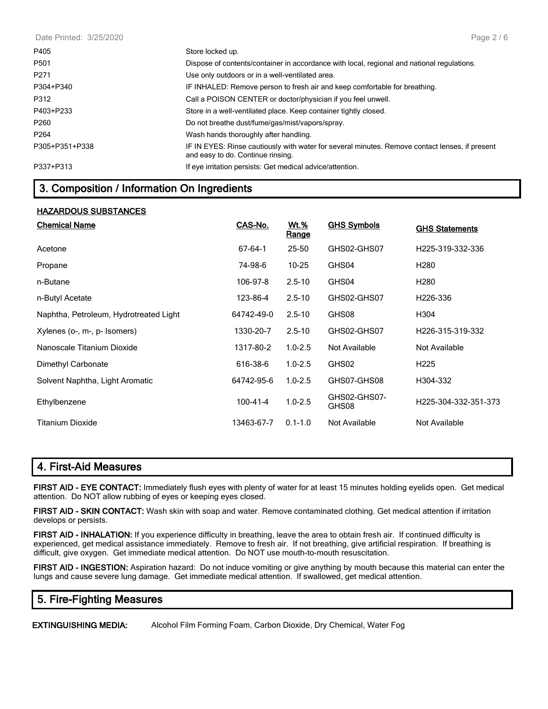Date Printed: 3/25/2020

| P405             | Store locked up.                                                                                                                    |
|------------------|-------------------------------------------------------------------------------------------------------------------------------------|
| P <sub>501</sub> | Dispose of contents/container in accordance with local, regional and national regulations.                                          |
| P <sub>271</sub> | Use only outdoors or in a well-ventilated area.                                                                                     |
| P304+P340        | IF INHALED: Remove person to fresh air and keep comfortable for breathing.                                                          |
| P312             | Call a POISON CENTER or doctor/physician if you feel unwell.                                                                        |
| P403+P233        | Store in a well-ventilated place. Keep container tightly closed.                                                                    |
| P260             | Do not breathe dust/fume/gas/mist/vapors/spray.                                                                                     |
| P <sub>264</sub> | Wash hands thoroughly after handling.                                                                                               |
| P305+P351+P338   | IF IN EYES: Rinse cautiously with water for several minutes. Remove contact lenses, if present<br>and easy to do. Continue rinsing. |
| P337+P313        | If eye irritation persists: Get medical advice/attention.                                                                           |

## **3. Composition / Information On Ingredients**

#### **HAZARDOUS SUBSTANCES**

| <b>Chemical Name</b>                   | CAS-No.        | <u>Wt.%</u><br><u>Range</u> | <b>GHS Symbols</b>    | <b>GHS Statements</b> |
|----------------------------------------|----------------|-----------------------------|-----------------------|-----------------------|
| Acetone                                | 67-64-1        | 25-50                       | GHS02-GHS07           | H225-319-332-336      |
| Propane                                | 74-98-6        | $10 - 25$                   | GHS04                 | H <sub>280</sub>      |
| n-Butane                               | 106-97-8       | $2.5 - 10$                  | GHS04                 | H <sub>280</sub>      |
| n-Butyl Acetate                        | 123-86-4       | $2.5 - 10$                  | GHS02-GHS07           | H <sub>226</sub> -336 |
| Naphtha, Petroleum, Hydrotreated Light | 64742-49-0     | $2.5 - 10$                  | GHS08                 | H304                  |
| Xylenes (o-, m-, p- Isomers)           | 1330-20-7      | $2.5 - 10$                  | GHS02-GHS07           | H226-315-319-332      |
| Nanoscale Titanium Dioxide             | 1317-80-2      | $1.0 - 2.5$                 | Not Available         | Not Available         |
| Dimethyl Carbonate                     | 616-38-6       | $1.0 - 2.5$                 | GHS02                 | H <sub>225</sub>      |
| Solvent Naphtha, Light Aromatic        | 64742-95-6     | $1.0 - 2.5$                 | GHS07-GHS08           | H304-332              |
| Ethylbenzene                           | $100 - 41 - 4$ | $1.0 - 2.5$                 | GHS02-GHS07-<br>GHS08 | H225-304-332-351-373  |
| Titanium Dioxide                       | 13463-67-7     | $0.1 - 1.0$                 | Not Available         | Not Available         |

#### **4. First-Aid Measures**

**FIRST AID - EYE CONTACT:** Immediately flush eyes with plenty of water for at least 15 minutes holding eyelids open. Get medical attention. Do NOT allow rubbing of eyes or keeping eyes closed.

**FIRST AID - SKIN CONTACT:** Wash skin with soap and water. Remove contaminated clothing. Get medical attention if irritation develops or persists.

**FIRST AID - INHALATION:** If you experience difficulty in breathing, leave the area to obtain fresh air. If continued difficulty is experienced, get medical assistance immediately. Remove to fresh air. If not breathing, give artificial respiration. If breathing is difficult, give oxygen. Get immediate medical attention. Do NOT use mouth-to-mouth resuscitation.

**FIRST AID - INGESTION:** Aspiration hazard: Do not induce vomiting or give anything by mouth because this material can enter the lungs and cause severe lung damage. Get immediate medical attention. If swallowed, get medical attention.

#### **5. Fire-Fighting Measures**

**EXTINGUISHING MEDIA:** Alcohol Film Forming Foam, Carbon Dioxide, Dry Chemical, Water Fog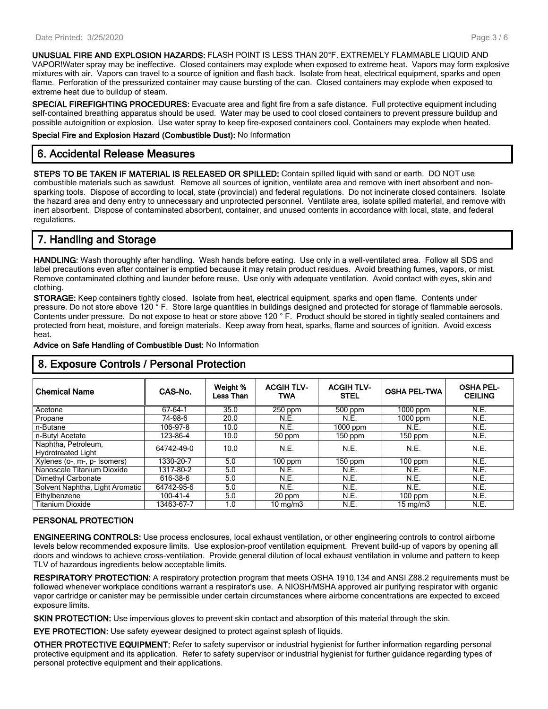**UNUSUAL FIRE AND EXPLOSION HAZARDS:** FLASH POINT IS LESS THAN 20°F. EXTREMELY FLAMMABLE LIQUID AND VAPOR!Water spray may be ineffective. Closed containers may explode when exposed to extreme heat. Vapors may form explosive mixtures with air. Vapors can travel to a source of ignition and flash back. Isolate from heat, electrical equipment, sparks and open flame. Perforation of the pressurized container may cause bursting of the can. Closed containers may explode when exposed to extreme heat due to buildup of steam.

**SPECIAL FIREFIGHTING PROCEDURES:** Evacuate area and fight fire from a safe distance. Full protective equipment including self-contained breathing apparatus should be used. Water may be used to cool closed containers to prevent pressure buildup and possible autoignition or explosion. Use water spray to keep fire-exposed containers cool. Containers may explode when heated.

**Special Fire and Explosion Hazard (Combustible Dust):** No Information

## **6. Accidental Release Measures**

**STEPS TO BE TAKEN IF MATERIAL IS RELEASED OR SPILLED:** Contain spilled liquid with sand or earth. DO NOT use combustible materials such as sawdust. Remove all sources of ignition, ventilate area and remove with inert absorbent and nonsparking tools. Dispose of according to local, state (provincial) and federal regulations. Do not incinerate closed containers. Isolate the hazard area and deny entry to unnecessary and unprotected personnel. Ventilate area, isolate spilled material, and remove with inert absorbent. Dispose of contaminated absorbent, container, and unused contents in accordance with local, state, and federal regulations.

## **7. Handling and Storage**

**HANDLING:** Wash thoroughly after handling. Wash hands before eating. Use only in a well-ventilated area. Follow all SDS and label precautions even after container is emptied because it may retain product residues. Avoid breathing fumes, vapors, or mist. Remove contaminated clothing and launder before reuse. Use only with adequate ventilation. Avoid contact with eyes, skin and clothing.

**STORAGE:** Keep containers tightly closed. Isolate from heat, electrical equipment, sparks and open flame. Contents under pressure. Do not store above 120 ° F. Store large quantities in buildings designed and protected for storage of flammable aerosols. Contents under pressure. Do not expose to heat or store above 120 ° F. Product should be stored in tightly sealed containers and protected from heat, moisture, and foreign materials. Keep away from heat, sparks, flame and sources of ignition. Avoid excess heat.

| 8. Exposure Controls / Personal Protection       |                |                       |                         |                                  |                     |                                    |  |
|--------------------------------------------------|----------------|-----------------------|-------------------------|----------------------------------|---------------------|------------------------------------|--|
| <b>Chemical Name</b>                             | CAS-No.        | Weight %<br>Less Than | <b>ACGIHTLV-</b><br>TWA | <b>ACGIH TLV-</b><br><b>STEL</b> | <b>OSHA PEL-TWA</b> | <b>OSHA PEL-</b><br><b>CEILING</b> |  |
| Acetone                                          | 67-64-1        | 35.0                  | 250 ppm                 | $500$ ppm                        | $1000$ ppm          | N.E.                               |  |
| Propane                                          | 74-98-6        | 20.0                  | N.E.                    | N.E.                             | $1000$ ppm          | N.E.                               |  |
| n-Butane                                         | 106-97-8       | 10.0                  | N.E.                    | $\overline{1000}$ ppm            | N.E.                | N.E.                               |  |
| n-Butyl Acetate                                  | 123-86-4       | 10.0                  | 50 ppm                  | 150 ppm                          | 150 ppm             | N.E.                               |  |
| Naphtha, Petroleum,<br><b>Hydrotreated Light</b> | 64742-49-0     | 10.0                  | N.E.                    | N.E.                             | N.E.                | N.E.                               |  |
| Xylenes (o-, m-, p- Isomers)                     | 1330-20-7      | 5.0                   | $100$ ppm               | 150 ppm                          | 100 ppm             | N.E.                               |  |
| Nanoscale Titanium Dioxide                       | 1317-80-2      | 5.0                   | N.E.                    | N.E.                             | N.E.                | N.E.                               |  |
| Dimethyl Carbonate                               | 616-38-6       | 5.0                   | N.E.                    | N.E.                             | N.E.                | N.E.                               |  |
| Solvent Naphtha, Light Aromatic                  | 64742-95-6     | 5.0                   | N.E.                    | N.E.                             | N.E.                | N.E.                               |  |
| Ethylbenzene                                     | $100 - 41 - 4$ | 5.0                   | 20 ppm                  | N.E.                             | $100$ ppm           | N.E.                               |  |
| <b>Titanium Dioxide</b>                          | 13463-67-7     | 1.0                   | $10 \text{ mg/m}$       | N.E.                             | $15 \text{ mg/m}$   | N.E.                               |  |

## **Advice on Safe Handling of Combustible Dust:** No Information

## **8. Exposure Controls / Personal Protection**

#### **PERSONAL PROTECTION**

**ENGINEERING CONTROLS:** Use process enclosures, local exhaust ventilation, or other engineering controls to control airborne levels below recommended exposure limits. Use explosion-proof ventilation equipment. Prevent build-up of vapors by opening all doors and windows to achieve cross-ventilation. Provide general dilution of local exhaust ventilation in volume and pattern to keep TLV of hazardous ingredients below acceptable limits.

**RESPIRATORY PROTECTION:** A respiratory protection program that meets OSHA 1910.134 and ANSI Z88.2 requirements must be followed whenever workplace conditions warrant a respirator's use. A NIOSH/MSHA approved air purifying respirator with organic vapor cartridge or canister may be permissible under certain circumstances where airborne concentrations are expected to exceed exposure limits.

**SKIN PROTECTION:** Use impervious gloves to prevent skin contact and absorption of this material through the skin.

**EYE PROTECTION:** Use safety eyewear designed to protect against splash of liquids.

**OTHER PROTECTIVE EQUIPMENT:** Refer to safety supervisor or industrial hygienist for further information regarding personal protective equipment and its application. Refer to safety supervisor or industrial hygienist for further guidance regarding types of personal protective equipment and their applications.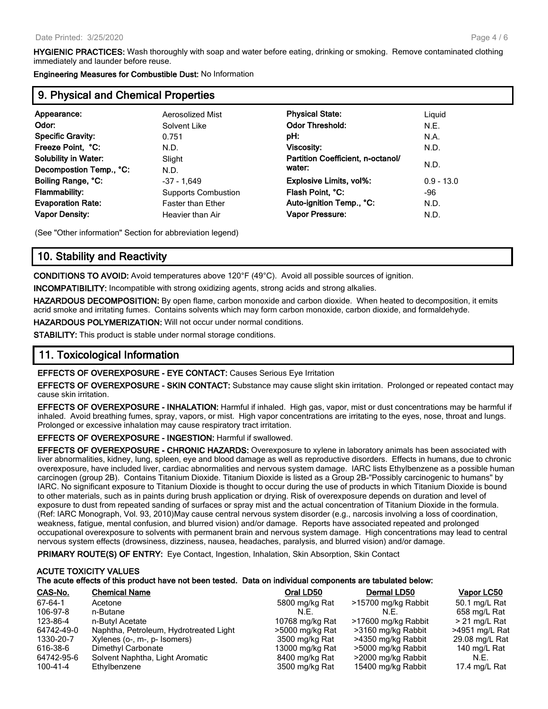**HYGIENIC PRACTICES:** Wash thoroughly with soap and water before eating, drinking or smoking. Remove contaminated clothing immediately and launder before reuse.

**Engineering Measures for Combustible Dust:** No Information

## **9. Physical and Chemical Properties**

| Appearance:                 | Aerosolized Mist           | <b>Physical State:</b>            | Liguid       |
|-----------------------------|----------------------------|-----------------------------------|--------------|
| Odor:                       | Solvent Like               | <b>Odor Threshold:</b>            | N.E.         |
| <b>Specific Gravity:</b>    | 0.751                      | pH:                               | N.A.         |
| Freeze Point, °C:           | N.D.                       | Viscosity:                        | N.D.         |
| <b>Solubility in Water:</b> | Slight                     | Partition Coefficient, n-octanol/ |              |
| Decompostion Temp., °C:     | N.D.                       | water:                            | N.D.         |
| Boiling Range, °C:          | $-37 - 1.649$              | Explosive Limits, vol%:           | $0.9 - 13.0$ |
| <b>Flammability:</b>        | <b>Supports Combustion</b> | Flash Point, °C:                  | -96          |
| <b>Evaporation Rate:</b>    | <b>Faster than Ether</b>   | Auto-ignition Temp., °C:          | N.D.         |
| <b>Vapor Density:</b>       | Heavier than Air           | <b>Vapor Pressure:</b>            | N.D.         |
|                             |                            |                                   |              |

(See "Other information" Section for abbreviation legend)

### **10. Stability and Reactivity**

**CONDITIONS TO AVOID:** Avoid temperatures above 120°F (49°C). Avoid all possible sources of ignition.

**INCOMPATIBILITY:** Incompatible with strong oxidizing agents, strong acids and strong alkalies.

**HAZARDOUS DECOMPOSITION:** By open flame, carbon monoxide and carbon dioxide. When heated to decomposition, it emits acrid smoke and irritating fumes. Contains solvents which may form carbon monoxide, carbon dioxide, and formaldehyde.

**HAZARDOUS POLYMERIZATION:** Will not occur under normal conditions.

**STABILITY:** This product is stable under normal storage conditions.

## **11. Toxicological Information**

**EFFECTS OF OVEREXPOSURE - EYE CONTACT:** Causes Serious Eye Irritation

**EFFECTS OF OVEREXPOSURE - SKIN CONTACT:** Substance may cause slight skin irritation. Prolonged or repeated contact may cause skin irritation.

**EFFECTS OF OVEREXPOSURE - INHALATION:** Harmful if inhaled. High gas, vapor, mist or dust concentrations may be harmful if inhaled. Avoid breathing fumes, spray, vapors, or mist. High vapor concentrations are irritating to the eyes, nose, throat and lungs. Prolonged or excessive inhalation may cause respiratory tract irritation.

**EFFECTS OF OVEREXPOSURE - INGESTION:** Harmful if swallowed.

**EFFECTS OF OVEREXPOSURE - CHRONIC HAZARDS:** Overexposure to xylene in laboratory animals has been associated with liver abnormalities, kidney, lung, spleen, eye and blood damage as well as reproductive disorders. Effects in humans, due to chronic overexposure, have included liver, cardiac abnormalities and nervous system damage. IARC lists Ethylbenzene as a possible human carcinogen (group 2B). Contains Titanium Dioxide. Titanium Dioxide is listed as a Group 2B-"Possibly carcinogenic to humans" by IARC. No significant exposure to Titanium Dioxide is thought to occur during the use of products in which Titanium Dioxide is bound to other materials, such as in paints during brush application or drying. Risk of overexposure depends on duration and level of exposure to dust from repeated sanding of surfaces or spray mist and the actual concentration of Titanium Dioxide in the formula. (Ref: IARC Monograph, Vol. 93, 2010)May cause central nervous system disorder (e.g., narcosis involving a loss of coordination, weakness, fatigue, mental confusion, and blurred vision) and/or damage. Reports have associated repeated and prolonged occupational overexposure to solvents with permanent brain and nervous system damage. High concentrations may lead to central nervous system effects (drowsiness, dizziness, nausea, headaches, paralysis, and blurred vision) and/or damage.

**PRIMARY ROUTE(S) OF ENTRY:** Eye Contact, Ingestion, Inhalation, Skin Absorption, Skin Contact

### **ACUTE TOXICITY VALUES The acute effects of this product have not been tested. Data on individual components are tabulated below:**

| CAS-No.    | <b>Chemical Name</b>                   | Oral LD50       | Dermal LD50         | Vapor LC50      |
|------------|----------------------------------------|-----------------|---------------------|-----------------|
| 67-64-1    | Acetone                                | 5800 mg/kg Rat  | >15700 mg/kg Rabbit | 50.1 mg/L Rat   |
| 106-97-8   | n-Butane                               | N.E.            | N.F.                | 658 mg/L Rat    |
| 123-86-4   | n-Butyl Acetate                        | 10768 mg/kg Rat | >17600 mg/kg Rabbit | $>$ 21 mg/L Rat |
| 64742-49-0 | Naphtha, Petroleum, Hydrotreated Light | >5000 mg/kg Rat | >3160 mg/kg Rabbit  | >4951 mg/L Rat  |
| 1330-20-7  | Xylenes (o-, m-, p- Isomers)           | 3500 mg/kg Rat  | >4350 mg/kg Rabbit  | 29.08 mg/L Rat  |
| 616-38-6   | Dimethyl Carbonate                     | 13000 mg/kg Rat | >5000 mg/kg Rabbit  | 140 mg/L Rat    |
| 64742-95-6 | Solvent Naphtha, Light Aromatic        | 8400 mg/kg Rat  | >2000 mg/kg Rabbit  | N.E.            |
| 100-41-4   | Ethylbenzene                           | 3500 mg/kg Rat  | 15400 mg/kg Rabbit  | 17.4 mg/L Rat   |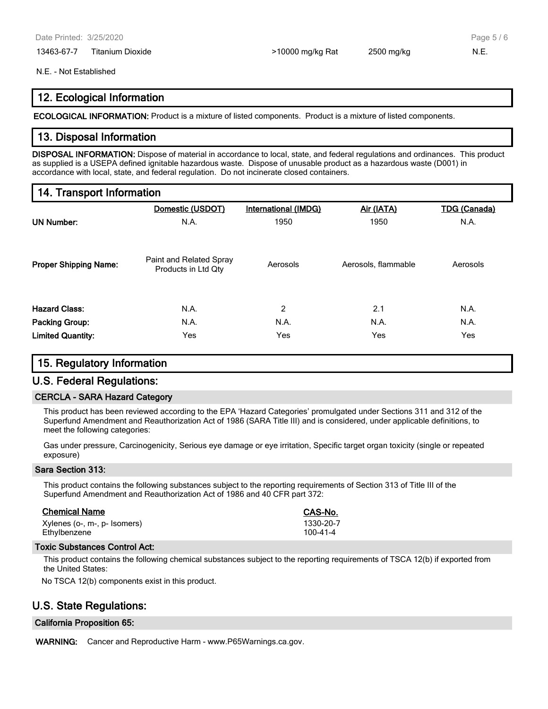13463-67-7 Titanium Dioxide **6. Election 12500 mg/kg Rat** 2500 mg/kg 2500 mg/kg N.E.

Page 5 / 6

#### N.E. - Not Established

## **12. Ecological Information**

**ECOLOGICAL INFORMATION:** Product is a mixture of listed components. Product is a mixture of listed components.

## **13. Disposal Information**

**DISPOSAL INFORMATION:** Dispose of material in accordance to local, state, and federal regulations and ordinances. This product as supplied is a USEPA defined ignitable hazardous waste. Dispose of unusable product as a hazardous waste (D001) in accordance with local, state, and federal regulation. Do not incinerate closed containers.

## **14. Transport Information**

|                              | Domestic (USDOT)                               | <b>International (IMDG)</b> | Air (IATA)          | <b>TDG</b> (Canada) |
|------------------------------|------------------------------------------------|-----------------------------|---------------------|---------------------|
| <b>UN Number:</b>            | N.A.                                           | 1950                        | 1950                | N.A.                |
| <b>Proper Shipping Name:</b> | Paint and Related Spray<br>Products in Ltd Qty | Aerosols                    | Aerosols, flammable | Aerosols            |
| <b>Hazard Class:</b>         | N.A.                                           | 2                           | 2.1                 | N.A.                |
| <b>Packing Group:</b>        | N.A.                                           | N.A.                        | N.A.                | N.A.                |
| <b>Limited Quantity:</b>     | Yes                                            | Yes                         | Yes                 | Yes                 |

#### **15. Regulatory Information**

#### **U.S. Federal Regulations:**

#### **CERCLA - SARA Hazard Category**

This product has been reviewed according to the EPA 'Hazard Categories' promulgated under Sections 311 and 312 of the Superfund Amendment and Reauthorization Act of 1986 (SARA Title III) and is considered, under applicable definitions, to meet the following categories:

Gas under pressure, Carcinogenicity, Serious eye damage or eye irritation, Specific target organ toxicity (single or repeated exposure)

#### **Sara Section 313:**

This product contains the following substances subject to the reporting requirements of Section 313 of Title III of the Superfund Amendment and Reauthorization Act of 1986 and 40 CFR part 372:

| <b>Chemical Name</b>         | CAS-No.   |
|------------------------------|-----------|
| Xylenes (o-, m-, p- Isomers) | 1330-20-7 |
| Ethvlbenzene                 | 100-41-4  |

#### **Toxic Substances Control Act:**

This product contains the following chemical substances subject to the reporting requirements of TSCA 12(b) if exported from the United States:

No TSCA 12(b) components exist in this product.

## **U.S. State Regulations:**

#### **California Proposition 65:**

**WARNING:** Cancer and Reproductive Harm - www.P65Warnings.ca.gov.